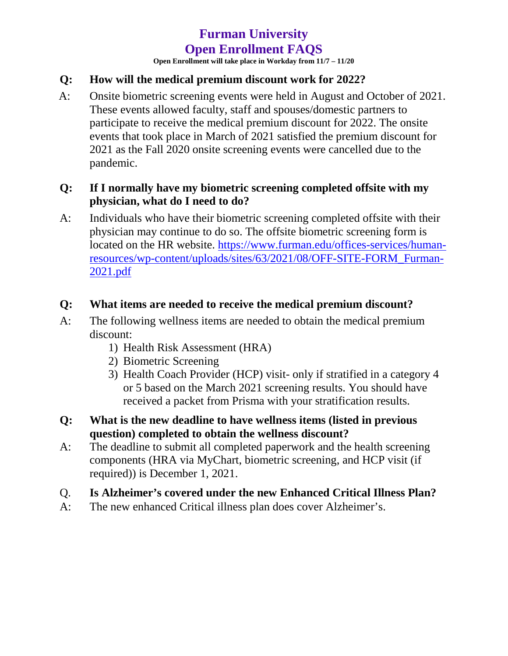# **Furman University Open Enrollment FAQS**

**Open Enrollment will take place in Workday from 11/7 – 11/20**

# **Q: How will the medical premium discount work for 2022?**

A: Onsite biometric screening events were held in August and October of 2021. These events allowed faculty, staff and spouses/domestic partners to participate to receive the medical premium discount for 2022. The onsite events that took place in March of 2021 satisfied the premium discount for 2021 as the Fall 2020 onsite screening events were cancelled due to the pandemic.

#### **Q: If I normally have my biometric screening completed offsite with my physician, what do I need to do?**

A: Individuals who have their biometric screening completed offsite with their physician may continue to do so. The offsite biometric screening form is located on the HR website. [https://www.furman.edu/offices-services/human](https://www.furman.edu/offices-services/human-resources/wp-content/uploads/sites/63/2021/08/OFF-SITE-FORM_Furman-2021.pdf)[resources/wp-content/uploads/sites/63/2021/08/OFF-SITE-FORM\\_Furman-](https://www.furman.edu/offices-services/human-resources/wp-content/uploads/sites/63/2021/08/OFF-SITE-FORM_Furman-2021.pdf)[2021.pdf](https://www.furman.edu/offices-services/human-resources/wp-content/uploads/sites/63/2021/08/OFF-SITE-FORM_Furman-2021.pdf)

#### **Q: What items are needed to receive the medical premium discount?**

- A: The following wellness items are needed to obtain the medical premium discount:
	- 1) Health Risk Assessment (HRA)
	- 2) Biometric Screening
	- 3) Health Coach Provider (HCP) visit- only if stratified in a category 4 or 5 based on the March 2021 screening results. You should have received a packet from Prisma with your stratification results.
- **Q: What is the new deadline to have wellness items (listed in previous question) completed to obtain the wellness discount?**
- A: The deadline to submit all completed paperwork and the health screening components (HRA via MyChart, biometric screening, and HCP visit (if required)) is December 1, 2021.

#### Q. **Is Alzheimer's covered under the new Enhanced Critical Illness Plan?**

A: The new enhanced Critical illness plan does cover Alzheimer's.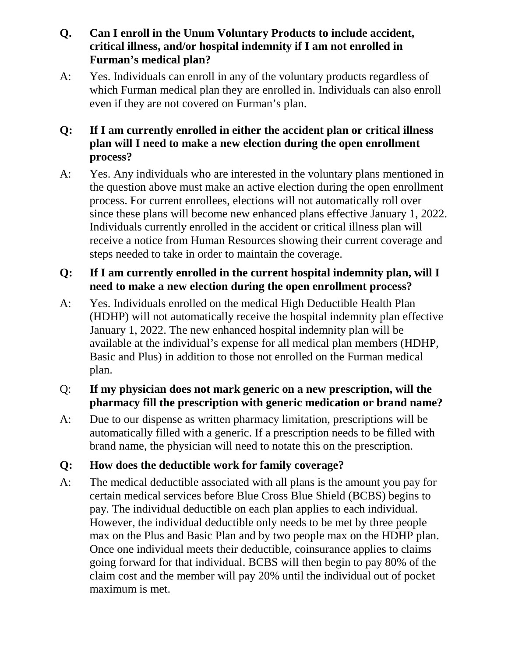# **Q. Can I enroll in the Unum Voluntary Products to include accident, critical illness, and/or hospital indemnity if I am not enrolled in Furman's medical plan?**

A: Yes. Individuals can enroll in any of the voluntary products regardless of which Furman medical plan they are enrolled in. Individuals can also enroll even if they are not covered on Furman's plan.

# **Q: If I am currently enrolled in either the accident plan or critical illness plan will I need to make a new election during the open enrollment process?**

A: Yes. Any individuals who are interested in the voluntary plans mentioned in the question above must make an active election during the open enrollment process. For current enrollees, elections will not automatically roll over since these plans will become new enhanced plans effective January 1, 2022. Individuals currently enrolled in the accident or critical illness plan will receive a notice from Human Resources showing their current coverage and steps needed to take in order to maintain the coverage.

# **Q: If I am currently enrolled in the current hospital indemnity plan, will I need to make a new election during the open enrollment process?**

A: Yes. Individuals enrolled on the medical High Deductible Health Plan (HDHP) will not automatically receive the hospital indemnity plan effective January 1, 2022. The new enhanced hospital indemnity plan will be available at the individual's expense for all medical plan members (HDHP, Basic and Plus) in addition to those not enrolled on the Furman medical plan.

# Q: **If my physician does not mark generic on a new prescription, will the pharmacy fill the prescription with generic medication or brand name?**

A: Due to our dispense as written pharmacy limitation, prescriptions will be automatically filled with a generic. If a prescription needs to be filled with brand name, the physician will need to notate this on the prescription.

# **Q: How does the deductible work for family coverage?**

A: The medical deductible associated with all plans is the amount you pay for certain medical services before Blue Cross Blue Shield (BCBS) begins to pay. The individual deductible on each plan applies to each individual. However, the individual deductible only needs to be met by three people max on the Plus and Basic Plan and by two people max on the HDHP plan. Once one individual meets their deductible, coinsurance applies to claims going forward for that individual. BCBS will then begin to pay 80% of the claim cost and the member will pay 20% until the individual out of pocket maximum is met.